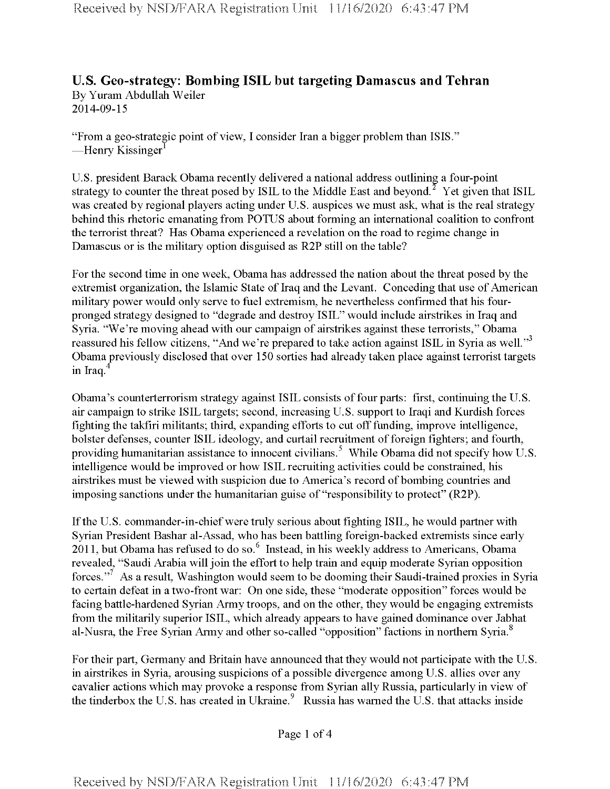## **U.S. Geo-strategy: Bombing ISIL but targeting Damascus and Tehran** By Yuram Abdullah Weiler 2014-09-15

"From a geo-strategic point of view, I consider Iran a bigger problem than ISIS." —Henry Kissinger<sup>1</sup>

U.S. president Barack Obama recently delivered a national address outlining a four-point strategy to counter the threat posed by ISIL to the Middle East and beyond.<sup>2</sup> Yet given that ISIL was created by regional players acting under U.S. auspices we must ask, what is the real strategy behind this rhetoric emanating from POTUS about forming an international coalition to confront the terroristthreat? Has Obama experienced a revelation on the road to regime change in Damascus or is the military option disguised as R2P still on the table?

For the second time in one week, Obama has addressed the nation about the threat posed by the extremist organization, the Islamic State of Iraq and the Levant. Conceding that use of American military power would only serve to fuel extremism, he nevertheless confirmed that his fourpronged strategy designed to "degrade and destroy ISIL" would include airstrikes in Iraq and Syria. "We're moving ahead with our campaign of airstrikes against these terrorists," Obama reassured his fellow citizens, "And we're prepared to take action against ISIL in Syria as well."<sup>3</sup> Obama previously disclosed that over 150 sorties had already taken place against terrorist targets in Iraq. $4$ 

Obama's counterterrorism strategy against ISIL consists offour parts: first, continuing the U.S. air campaign to strike ISIL targets; second, increasing U.S. supportto Iraqi and Kurdish forces fighting the takfiri militants; third, expanding efforts to cut offfunding, improve intelligence, bolster defenses, counter ISIL ideology, and curtail recruitment of foreign fighters; and fourth, providing humanitarian assistance to innocent civilians.<sup>5</sup> While Obama did not specify how U.S. intelligence would be improved or how ISIL recruiting activities could be constrained, his airstrikes must be viewed with suspicion due to America's record ofbombing countries and imposing sanctions under the humanitarian guise of "responsibility to protect" (R2P).

Ifthe U.S. commander-in-chiefwere truly serious about fighting ISIL, he would partner with Syrian President Bashar al-Assad, who has been battling foreign-backed extremists since early 2011, but Obama has refused to do so.<sup>6</sup> Instead, in his weekly address to Americans, Obama revealed, "Saudi Arabia will join the effort to help train and equip moderate Syrian opposition forces."<sup>7</sup> As a result, Washington would seem to be dooming their Saudi-trained proxies in Syria to certain defeat in a two-front war: On one side, these "moderate opposition" forces would be facing battle-hardened Syrian Army troops, and on the other, they would be engaging extremists from the militarily superior ISIL, which already appears to have gained dominance over Jabhat al-Nusra, the Free Syrian Army and other so-called "opposition" factions in northern Syria.<sup>8</sup>

For their part, Germany and Britain have announced that they would not participate with the U.S. in airstrikes in Syria, arousing suspicions of a possible divergence among U.S. allies over any cavalier actions which may provoke a response from Syrian ally Russia, particularly in view of the tinderbox the U.S. has created in Ukraine.<sup>9</sup> Russia has warned the U.S. that attacks inside

Page <sup>1</sup> of 4

Received by NSD/FARA Registration Unit 11/16/2020 6:43:47 PM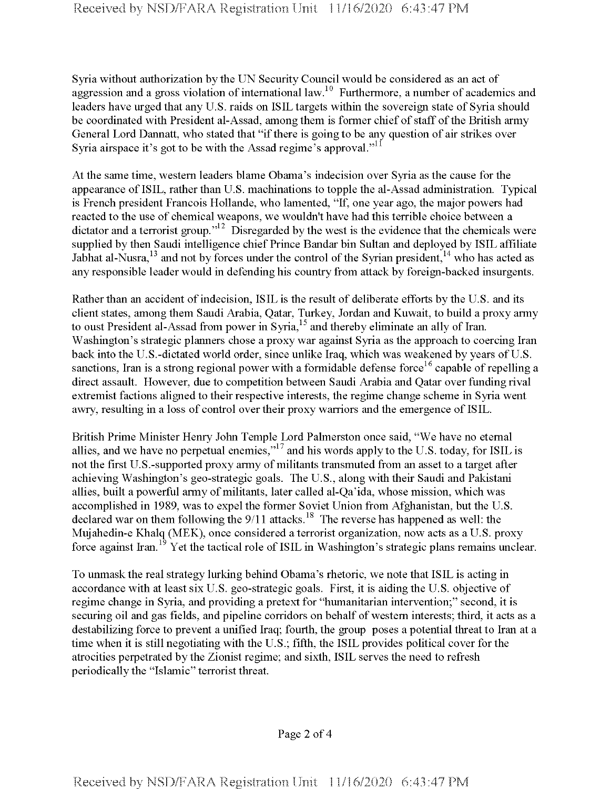Syria without authorization by the UN Security Council would be considered as an act of aggression and a gross violation of international law.<sup>10</sup> Furthermore, a number of academics and leaders have urged that any U.S. raids on ISIL targets within the sovereign state of Syria should be coordinated with President al-Assad, among them is former chief of staff of the British army General Lord Dannatt, who stated that "if there is going to be any question of air strikes over Syria airspace it's got to be with the Assad regime's approval."<sup>11</sup>

Atthe same time, western leaders blame Obama's indecision over Syria as the cause for the appearance ofISIL, rather than U.S. machinations to topple the al-Assad administration. Typical is French president Francois Hollande, who lamented, "If, one year ago, the major powers had reacted to the use of chemical weapons, we wouldn't have had this terrible choice between a dictator and a terrorist group."<sup>12</sup> Disregarded by the west is the evidence that the chemicals were supplied by then Saudi intelligence chief Prince Bandar bin Sultan and deployed by ISIL affiliate Jabhat al-Nusra,  $13$  and not by forces under the control of the Syrian president,  $14$  who has acted as any responsible leader would in defending his country from attack by foreign-backed insurgents.

Rather than an accident of indecision, ISIL is the result of deliberate efforts by the U.S. and its client states, among them Saudi Arabia, Qatar, Turkey, Jordan and Kuwait, to build a proxy army to oust President al-Assad from power in Syria,<sup>15</sup> and thereby eliminate an ally of Iran. Washington's strategic planners chose a proxy war against Syria as the approach to coercing Iran back into the U.S.-dictated world order, since unlike Iraq, which was weakened by years of U.S. sanctions, Iran is a strong regional power with a formidable defense force<sup>16</sup> capable of repelling a direct assault. However, due to competition between Saudi Arabia and Qatar over funding rival extremist factions aligned to their respective interests, the regime change scheme in Syria went awry, resulting in a loss of control over their proxy warriors and the emergence of ISIL.

British Prime Minister Henry John Temple Lord Palmerston once said, "We have no eternal allies, and we have no perpetual enemies,"17 and his words apply to the U.S. today, for ISIL is not the first U.S.-supported proxy army of militants transmuted from an asset to a target after achieving Washington's geo-strategic goals. The U.S., along with their Saudi and Pakistani allies, built a powerful army of militants, later called al-Qa'ida, whose mission, which was accomplished in 1989, was to expel the former Soviet Union from Afghanistan, but the U.S. declared war on them following the  $9/11$  attacks.<sup>18</sup> The reverse has happened as well: the Mujahedin-e Khalq (MEK), once considered a terrorist organization, now acts as a U.S. proxy force against Iran.<sup>19</sup> Yet the tactical role of ISIL in Washington's strategic plans remains unclear.

To unmask the real strategy lurking behind Obama's rhetoric, we note that ISIL is acting in accordance with at least six U.S. geo-strategic goals. First, it is aiding the U.S. objective of regime change in Syria, and providing a pretext for "humanitarian intervention;" second, it is securing oil and gas fields, and pipeline corridors on behalf of western interests; third, it acts as a destabilizing force to prevent a unified Iraq; fourth, the group poses a potential threat to Iran at a time when it is still negotiating with the U.S.; fifth, the ISIL provides political cover for the atrocities perpetrated by the Zionist regime; and sixth, ISIL serves the need to refresh periodically the "Islamic" terrorist threat.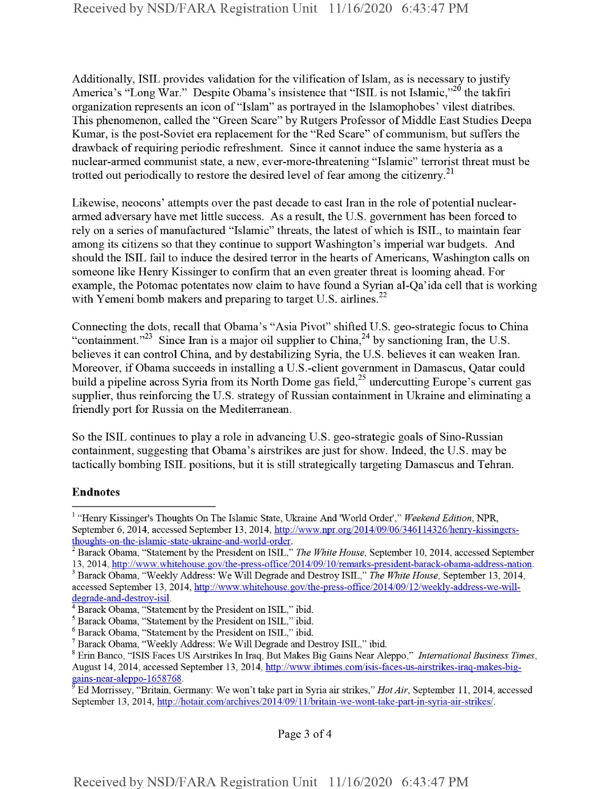Additionally, ISIL provides validation for the vilification of Islam, as is necessary to justify America's "Long War." Despite Obama's insistence that "ISIL is not Islamic,"<sup>20</sup> the takfiri organization represents an icon of"Islam" as portrayed in the Islamophobes' vilest diatribes. This phenomenon, called the "Green Scare" by Rutgers Professor of Middle East Studies Deepa Kumar, is the post-Soviet era replacement for the "Red Scare" of communism, but suffers the drawback of requiring periodic refreshment. Since it cannot induce the same hysteria as a nuclear-armed communist state, a new, ever-more-threatening "Islamic" terrorist threat must be trotted out periodically to restore the desired level of fear among the citizenry.<sup>21</sup>

Likewise, neocons' attempts over the past decade to cast Iran in the role of potential nucleararmed adversary have met little success. As a result, the U.S. government has been forced to rely on a series of manufactured "Islamic" threats, the latest of which is ISIL, to maintain fear among its citizens so that they continue to support Washington's imperial war budgets. And should the ISIL fail to induce the desired terror in the hearts of Americans, Washington calls on someone like Henry Kissinger to confirm that an even greater threat is looming ahead. For example, the Potomac potentates now claim to have found a Syrian al-Qa'ida cell that is working with Yemeni bomb makers and preparing to target U.S. airlines. $^{22}$ 

Connecting the dots, recall that Obama's "Asia Pivot" shifted U.S. geo-strategic focus to China "containment."<sup>23</sup> Since Iran is a major oil supplier to China,<sup>24</sup> by sanctioning Iran, the U.S. believes it can control China, and by destabilizing Syria, the U.S. believes it can weaken Iran. Moreover, if Obama succeeds in installing a U.S.-client government in Damascus, Qatar could build a pipeline across Syria from its North Dome gas field,<sup>25</sup> undercutting Europe's current gas supplier, thus reinforcing the U.S. strategy of Russian containment in Ukraine and eliminating a friendly port for Russia on the Mediterranean.

So the ISIL continues to play a role in advancing U.S. geo-strategic goals of Sino-Russian containment, suggesting that Obama's airstrikes are just for show. Indeed, the U.S. may be tactically bombing ISIL positions, but it is still strategically targeting Damascus and Tehran.

## **Endnotes**

Page 3 of 4

<sup>1</sup> "Henry Kissinger's Thoughts On The Islamic State, Ukraine And 'World Order'," *Weekend Edition*, NPR, September 6, 2014, accessed September 13, 2014, http://www.npr.org/2014/09/06/346114326/henry-kissingersthoughts-on-the-islamic-state-ukraine-and-world-order.

<sup>2</sup> Barack Obama, "Statement by the President on ISIL," *The White House,* September 10, 2014, accessed September 13, 2014, http://www.whitehouse.gov/the-press-office/2014/09/10/remarks-president-barack-obama-address-nation.

<sup>3</sup> Barack Obama, "Weekly Address: We Will Degrade and Destroy ISIL," *The White House,* September 13, 2014, accessed September 13, 2014, http://www.whitehouse.gov/the-press-office/2014/09/12/weeklv-address-we-willdegrade-and-destroy-isil.

<sup>&</sup>lt;sup>4</sup> Barack Obama, "Statement by the President on ISIL," ibid.

<sup>5</sup> Barack Obama, "Statement by the President on ISIL," ibid.

<sup>6</sup> Barack Obama, "Statement by the President on ISIL," ibid.

<sup>7</sup> Barack Obama, "Weekly Address: We Will Degrade and Destroy ISIL," ibid.

<sup>8</sup> Erin Banco, "ISIS Faces US Airstrikes In Iraq, But Makes Big Gains Near Aleppo," *International Business Times,* August 14, 2014, accessed September 13, 2014, http://www.ibtimes.com/isis-faces-us-airstrikes-iraq-makes-biggains-near-aleppo-1658768.

<sup>&</sup>lt;sup>9</sup> Ed Morrissey, "Britain, Germany: We won't take part in Syria air strikes," *Hot Air*, September 11, 2014, accessed September 13, 2014, http://hotair.eom/archives/2014/09/l l/britain-we-wont-take-part-in-syria-air-strikes/.